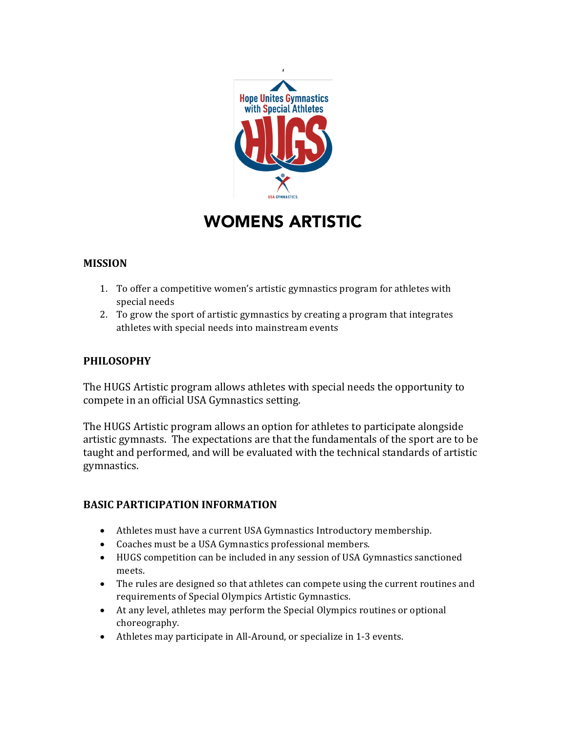

# WOMENS ARTISTIC

## **MISSION**

- 1. To offer a competitive women's artistic gymnastics program for athletes with special needs
- 2. To grow the sport of artistic gymnastics by creating a program that integrates athletes with special needs into mainstream events

#### **PHILOSOPHY**

The HUGS Artistic program allows athletes with special needs the opportunity to compete in an official USA Gymnastics setting.

The HUGS Artistic program allows an option for athletes to participate alongside artistic gymnasts. The expectations are that the fundamentals of the sport are to be taught and performed, and will be evaluated with the technical standards of artistic gymnastics.

#### **BASIC PARTICIPATION INFORMATION**

- Athletes must have a current USA Gymnastics Introductory membership.
- Coaches must be a USA Gymnastics professional members.
- HUGS competition can be included in any session of USA Gymnastics sanctioned meets.
- The rules are designed so that athletes can compete using the current routines and requirements of Special Olympics Artistic Gymnastics.
- At any level, athletes may perform the Special Olympics routines or optional choreography.
- Athletes may participate in All-Around, or specialize in 1-3 events.